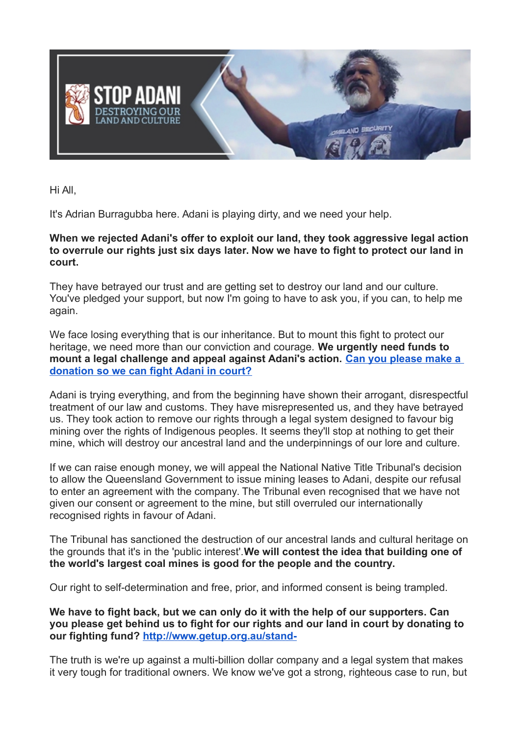

Hi All,

It's Adrian Burragubba here. Adani is playing dirty, and we need your help.

## **When we rejected Adani's offer to exploit our land, they took aggressive legal action to overrule our rights just six days later. Now we have to fight to protect our land in court.**

They have betrayed our trust and are getting set to destroy our land and our culture. You've pledged your support, but now I'm going to have to ask you, if you can, to help me again.

We face losing everything that is our inheritance. But to mount this fight to protect our heritage, we need more than our conviction and courage. **We urgently need funds to mount a legal challenge and appeal against Adani's action. [Can you please make a](https://www.getup.org.au/campaigns/mining/help-us-fight-adani/help-us-fight-adani?t=gDR7jfWE7&utm_content=8039&utm_campaign=URGENT%3A%20We%20need%20to%20fight%20Adani%20in%20court&utm_source=blast&utm_medium=email)  [donation so we can fight Adani in court?](https://www.getup.org.au/campaigns/mining/help-us-fight-adani/help-us-fight-adani?t=gDR7jfWE7&utm_content=8039&utm_campaign=URGENT%3A%20We%20need%20to%20fight%20Adani%20in%20court&utm_source=blast&utm_medium=email)**

Adani is trying everything, and from the beginning have shown their arrogant, disrespectful treatment of our law and customs. They have misrepresented us, and they have betrayed us. They took action to remove our rights through a legal system designed to favour big mining over the rights of Indigenous peoples. It seems they'll stop at nothing to get their mine, which will destroy our ancestral land and the underpinnings of our lore and culture.

If we can raise enough money, we will appeal the National Native Title Tribunal's decision to allow the Queensland Government to issue mining leases to Adani, despite our refusal to enter an agreement with the company. The Tribunal even recognised that we have not given our consent or agreement to the mine, but still overruled our internationally recognised rights in favour of Adani.

The Tribunal has sanctioned the destruction of our ancestral lands and cultural heritage on the grounds that it's in the 'public interest'.**We will contest the idea that building one of the world's largest coal mines is good for the people and the country.**

Our right to self-determination and free, prior, and informed consent is being trampled.

**We have to fight back, but we can only do it with the help of our supporters. Can you please get behind us to fight for our rights and our land in court by donating to our fighting fund? [http://www.getup.org.au/stand-](https://www.getup.org.au/campaigns/mining/help-us-fight-adani/help-us-fight-adani?t=gDR7jfWE7&utm_content=8039&utm_campaign=URGENT%3A%20We%20need%20to%20fight%20Adani%20in%20court&utm_source=blast&utm_medium=email)**

The truth is we're up against a multi-billion dollar company and a legal system that makes it very tough for traditional owners. We know we've got a strong, righteous case to run, but